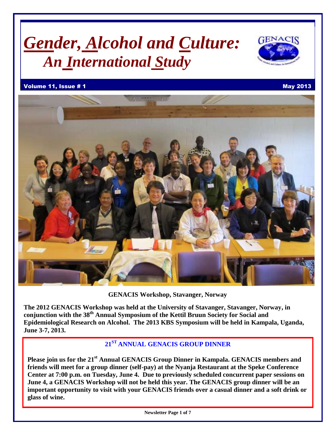# *Gender, Alcohol and Culture: An International Study*



### Volume 11, Issue # 1 May 2013



**GENACIS Workshop, Stavanger, Norway**

**The 2012 GENACIS Workshop was held at the University of Stavanger, Stavanger, Norway, in conjunction with the 38th Annual Symposium of the Kettil Bruun Society for Social and Epidemiological Research on Alcohol. The 2013 KBS Symposium will be held in Kampala, Uganda, June 3-7, 2013.**

# **21 ST ANNUAL GENACIS GROUP DINNER**

**Please join us for the 21 st Annual GENACIS Group Dinner in Kampala. GENACIS members and friends will meet for a group dinner (self-pay) at the Nyanja Restaurant at the Speke Conference Center at 7:00 p.m. on Tuesday, June 4. Due to previously scheduled concurrent paper sessions on June 4, a GENACIS Workshop will not be held this year. The GENACIS group dinner will be an important opportunity to visit with your GENACIS friends over a casual dinner and a soft drink or glass of wine.**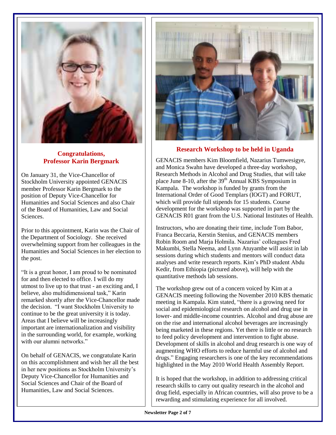

# **Congratulations, Professor Karin Bergmark**

On January 31, the Vice-Chancellor of Stockholm University appointed GENACIS member Professor Karin Bergmark to the position of Deputy Vice-Chancellor for Humanities and Social Sciences and also Chair of the Board of Humanities, Law and Social Sciences.

Prior to this appointment, Karin was the Chair of the Department of Sociology. She received overwhelming support from her colleagues in the Humanities and Social Sciences in her election to the post.

"It is a great honor, I am proud to be nominated for and then elected to office. I will do my utmost to live up to that trust - an exciting and, I believe, also multidimensional task," Karin remarked shortly after the Vice-Chancellor made the decision. "I want Stockholm University to continue to be the great university it is today. Areas that I believe will be increasingly important are internationalization and visibility in the surrounding world, for example, working with our alumni networks."

On behalf of GENACIS, we congratulate Karin on this accomplishment and wish her all the best in her new positions as Stockholm University's Deputy Vice-Chancellor for Humanities and Social Sciences and Chair of the Board of Humanities, Law and Social Sciences.



# **Research Workshop to be held in Uganda**

GENACIS members Kim Bloomfield, Nazarius Tumwesigye, and Monica Swahn have developed a three-day workshop, Research Methods in Alcohol and Drug Studies, that will take place June 8-10, after the  $39<sup>th</sup>$  Annual KBS Symposium in Kampala. The workshop is funded by grants from the International Order of Good Templars (IOGT) and FORUT, which will provide full stipends for 15 students. Course development for the workshop was supported in part by the GENACIS R01 grant from the U.S. National Institutes of Health.

Instructors, who are donating their time, include Tom Babor, Franca Beccaria, Kerstin Stenius, and GENACIS members Robin Room and Marja Holmila. Nazarius' colleagues Fred Makumbi, Stella Neema, and Lynn Atuyambe will assist in lab sessions during which students and mentors will conduct data analyses and write research reports. Kim's PhD student Abdu Kedir, from Ethiopia (pictured above), will help with the quantitative methods lab sessions.

The workshop grew out of a concern voiced by Kim at a GENACIS meeting following the November 2010 KBS thematic meeting in Kampala. Kim stated, "there is a growing need for social and epidemiological research on alcohol and drug use in lower- and middle-income countries. Alcohol and drug abuse are on the rise and international alcohol beverages are increasingly being marketed in these regions. Yet there is little or no research to feed policy development and intervention to fight abuse. Development of skills in alcohol and drug research is one way of augmenting WHO efforts to reduce harmful use of alcohol and drugs." Engaging researchers is one of the key recommendations highlighted in the May 2010 World Health Assembly Report.

It is hoped that the workshop, in addition to addressing critical research skills to carry out quality research in the alcohol and drug field, especially in African countries, will also prove to be a rewarding and stimulating experience for all involved.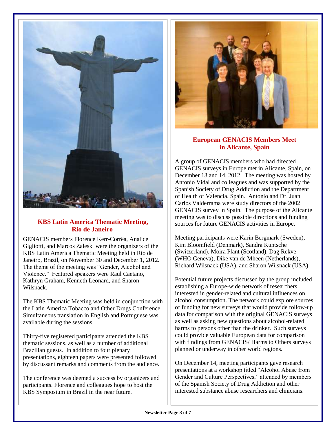

# **KBS Latin America Thematic Meeting, Rio de Janeiro**

GENACIS members Florence Kerr-Corrêa, Analice Gigliotti, and Marcos Zaleski were the organizers of the KBS Latin America Thematic Meeting held in Rio de Janeiro, Brazil, on November 30 and December 1, 2012. The theme of the meeting was "Gender, Alcohol and Violence." Featured speakers were Raul Caetano, Kathryn Graham, Kenneth Leonard, and Sharon Wilsnack.

The KBS Thematic Meeting was held in conjunction with the Latin America Tobacco and Other Drugs Conference. Simultaneous translation in English and Portuguese was available during the sessions.

Thirty-five registered participants attended the KBS thematic sessions, as well as a number of additional Brazilian guests. In addition to four plenary presentations, eighteen papers were presented followed by discussant remarks and comments from the audience.

The conference was deemed a success by organizers and participants. Florence and colleagues hope to host the KBS Symposium in Brazil in the near future.



# **European GENACIS Members Meet in Alicante, Spain**

A group of GENACIS members who had directed GENACIS surveys in Europe met in Alicante, Spain, on December 13 and 14, 2012. The meeting was hosted by Antonio Vidal and colleagues and was supported by the Spanish Society of Drug Addiction and the Department of Health of Valencia, Spain. Antonio and Dr. Juan Carlos Valderrama were study directors of the 2002 GENACIS survey in Spain. The purpose of the Alicante meeting was to discuss possible directions and funding sources for future GENACIS activities in Europe.

Meeting participants were Karin Bergmark (Sweden), Kim Bloomfield (Denmark), Sandra Kuntsche (Switzerland), Moira Plant (Scotland), Dag Rekve (WHO Geneva), Dike van de Mheen (Netherlands), Richard Wilsnack (USA), and Sharon Wilsnack (USA).

Potential future projects discussed by the group included establishing a Europe-wide network of researchers interested in gender-related and cultural influences on alcohol consumption. The network could explore sources of funding for new surveys that would provide follow-up data for comparison with the original GENACIS surveys as well as asking new questions about alcohol-related harms to persons other than the drinker. Such surveys could provide valuable European data for comparison with findings from GENACIS/ Harms to Others surveys planned or underway in other world regions.

On December 14, meeting participants gave research presentations at a workshop titled "Alcohol Abuse from Gender and Culture Perspectives," attended by members of the Spanish Society of Drug Addiction and other interested substance abuse researchers and clinicians.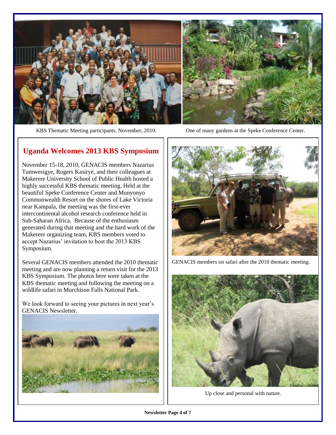

KBS Thematic Meeting participants, November, 2010. One of many gardens at the Speke Conference Center.

# **Uganda Welcomes 2013 KBS Symposium**

November 15-18, 2010, GENACIS members Nazarius Tumwesigye, Rogers Kasirye, and their colleagues at Makerere University School of Public Health hosted a highly successful KBS thematic meeting. Held at the beautiful Speke Conference Center and Munyonyo Commonwealth Resort on the shores of Lake Victoria near Kampala, the meeting was the first-ever intercontinental alcohol research conference held in Sub-Saharan Africa. Because of the enthusiasm generated during that meeting and the hard work of the Makerere organizing team, KBS members voted to accept Nazarius' invitation to host the 2013 KBS Symposium.

Several GENACIS members attended the 2010 thematic meeting and are now planning a return visit for the 2013 KBS Symposium. The photos here were taken at the KBS thematic meeting and following the meeting on a wildlife safari in Murchison Falls National Park.

We look forward to seeing your pictures in next year's GENACIS Newsletter.





GENACIS members on safari after the 2010 thematic meeting.



Up close and personal with nature.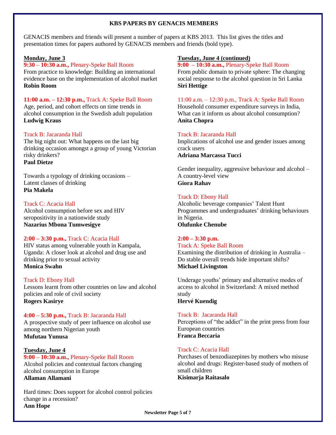### **KBS PAPERS BY GENACIS MEMBERS**

GENACIS members and friends will present a number of papers at KBS 2013. This list gives the titles and presentation times for papers authored by GENACIS members and friends (bold type).

### **Monday, June 3**

**9:30 – 10:30 a.m.,** Plenary-Speke Ball Room From practice to knowledge: Building an international evidence base on the implementation of alcohol market **Robin Room**

**11:00 a.m. – 12:30 p.m.,** Track A: Speke Ball Room Age, period, and cohort effects on time trends in alcohol consumption in the Swedish adult population **Ludwig Kraus**

### Track B: Jacaranda Hall

The big night out: What happens on the last big drinking occasion amongst a group of young Victorian risky drinkers? **Paul Dietze**

Towards a typology of drinking occasions – Latent classes of drinking **Pia Makela**

### Track C: Acacia Hall

Alcohol consumption before sex and HIV seropositivity in a nationwide study **Nazarius Mbona Tumwesigye**

### **2:00 – 3:30 p.m.,** Track C: Acacia Hall

HIV status among vulnerable youth in Kampala, Uganda: A closer look at alcohol and drug use and drinking prior to sexual activity **Monica Swahn**

### Track D: Ebony Hall

Lessons learnt from other countries on law and alcohol policies and role of civil society **Rogers Kasirye**

### **4:00 – 5:30 p.m.,** Track B: Jacaranda Hall

A prospective study of peer influence on alcohol use among northern Nigerian youth **Mufutau Yunusa**

### **Tuesday, June 4**

**9:00 – 10:30 a.m.,** Plenary-Speke Ball Room Alcohol policies and contextual factors changing alcohol consumption in Europe **Allaman Allamani**

Hard times: Does support for alcohol control policies change in a recession? **Ann Hope**

### **Tuesday, June 4 (continued)**

**9:00 – 10:30 a.m.,** Plenary-Speke Ball Room From public domain to private sphere: The changing social response to the alcohol question in Sri Lanka **Siri Hettige**

### 11:00 a.m. – 12:30 p.m., Track A: Speke Ball Room

Household consumer expenditure surveys in India, What can it inform us about alcohol consumption? **Anita Chopra**

### Track B: Jacaranda Hall

Implications of alcohol use and gender issues among crack users **Adriana Marcassa Tucci**

Gender inequality, aggressive behaviour and alcohol – A country-level view **Giora Rahav**

### Track D: Ebony Hall

Alcoholic beverage companies' Talent Hunt Programmes and undergraduates' drinking behaviours in Nigeria. **Olufunke Chenube**

### **2:00 – 3:30 p.m.**

Track A: Speke Ball Room

Examining the distribution of drinking in Australia – Do stable overall trends hide important shifts? **Michael Livingston**

Underage youths' primary and alternative modes of access to alcohol in Switzerland: A mixed method study

# **Hervé Kuendig**

### Track B: Jacaranda Hall

Perceptions of "the addict" in the print press from four European countries **Franca Beccaria**

### Track C: Acacia Hall

Purchases of benzodiazepines by mothers who misuse alcohol and drugs: Register-based study of mothers of small children

**Kisimarja Raitasalo**

**Newsletter Page 5 of 7**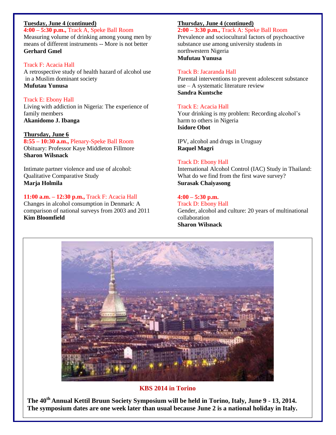# **Tuesday, June 4 (continued)**

**4:00 – 5:30 p.m.,** Track A, Speke Ball Room Measuring volume of drinking among young men by means of different instruments -- More is not better **Gerhard Gmel**

### Track F: Acacia Hall

A retrospective study of health hazard of alcohol use in a Muslim dominant society **Mufutau Yunusa**

### Track E: Ebony Hall

Living with addiction in Nigeria: The experience of family members **Akanidomo J. Ibanga**

### **Thursday, June 6**

**8:55 – 10:30 a.m.,** Plenary-Speke Ball Room Obituary: Professor Kaye Middleton Fillmore **Sharon Wilsnack**

Intimate partner violence and use of alcohol: Qualitative Comparative Study **Marja Holmila**

### **11:00 a.m. – 12:30 p.m.,** Track F: Acacia Hall

Changes in alcohol consumption in Denmark: A comparison of national surveys from 2003 and 2011 **Kim Bloomfield**

### **Thursday, June 4 (continued)**

# **2:00 – 3:30 p.m.,** Track A: Speke Ball Room

Prevalence and sociocultural factors of psychoactive substance use among university students in northwestern Nigeria **Mufutau Yunusa**

### Track B: Jacaranda Hall

Parental interventions to prevent adolescent substance use – A systematic literature review **Sandra Kuntsche**

### Track E: Acacia Hall

Your drinking is my problem: Recording alcohol's harm to others in Nigeria **Isidore Obot**

IPV, alcohol and drugs in Uruguay **Raquel Magri**

### Track D: Ebony Hall

International Alcohol Control (IAC) Study in Thailand: What do we find from the first wave survey? **Surasak Chaiyasong**

### **4:00 – 5:30 p.m.**

Track D: Ebony Hall Gender, alcohol and culture: 20 years of multinational collaboration **Sharon Wilsnack**



**KBS 2014 in Torino**

The symposium dates are one week later than usual because June 2 is a national holiday in Italy. **The 40th Annual Kettil Bruun Society Symposium will be held in Torino, Italy, June 9 - 13, 2014.**